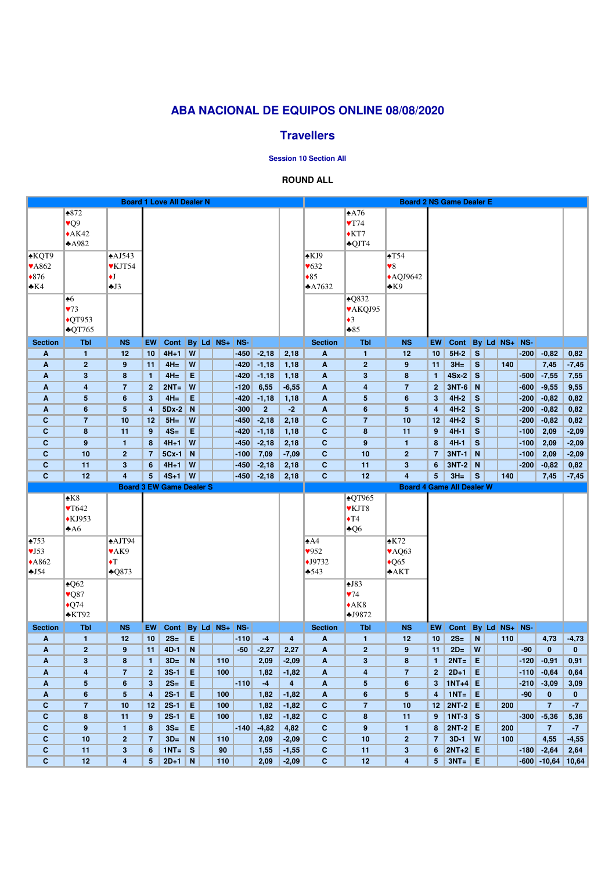|                            |                                     |                          |                | <b>Board 1 Love All Dealer N</b> |              |  |            |        |                 |                         |                             |                            | <b>Board 2 NS Game Dealer E</b>  |                  |                           |     |           |        |                                |              |
|----------------------------|-------------------------------------|--------------------------|----------------|----------------------------------|--------------|--|------------|--------|-----------------|-------------------------|-----------------------------|----------------------------|----------------------------------|------------------|---------------------------|-----|-----------|--------|--------------------------------|--------------|
|                            | $*872$                              |                          |                |                                  |              |  |            |        |                 |                         |                             | $*A76$                     |                                  |                  |                           |     |           |        |                                |              |
|                            | $\sqrt{Q}9$                         |                          |                |                                  |              |  |            |        |                 |                         |                             | $\sqrt{T74}$               |                                  |                  |                           |     |           |        |                                |              |
|                            | $*AK42$                             |                          |                |                                  |              |  |            |        |                 |                         |                             | $\triangle$ KT7            |                                  |                  |                           |     |           |        |                                |              |
|                            | A982                                |                          |                |                                  |              |  |            |        |                 |                         |                             | $\triangle$ QJT4           |                                  |                  |                           |     |           |        |                                |              |
| $\triangle KQT9$           |                                     | $\triangle$ AJ543        |                |                                  |              |  |            |        |                 |                         | $\triangle$ KJ9             |                            | $\triangle$ T54                  |                  |                           |     |           |        |                                |              |
|                            |                                     |                          |                |                                  |              |  |            |        |                 |                         |                             |                            |                                  |                  |                           |     |           |        |                                |              |
| <b>VA862</b>               |                                     | ♥KJT54                   |                |                                  |              |  |            |        |                 |                         | $\blacktriangledown 632$    |                            | $\blacktriangledown 8$           |                  |                           |     |           |        |                                |              |
| $*876$                     |                                     | $\blacklozenge$          |                |                                  |              |  |            |        |                 |                         | $\triangle 85$              |                            | $\triangle$ AQJ9642              |                  |                           |     |           |        |                                |              |
| $\triangle$ K4             |                                     | $\triangle$ J3           |                |                                  |              |  |            |        |                 |                         | A7632                       |                            | $\triangle$ K9                   |                  |                           |     |           |        |                                |              |
|                            | $\clubsuit 6$                       |                          |                |                                  |              |  |            |        |                 |                         |                             | $\triangle$ Q832           |                                  |                  |                           |     |           |        |                                |              |
|                            | 73                                  |                          |                |                                  |              |  |            |        |                 |                         |                             | VAKQJ95                    |                                  |                  |                           |     |           |        |                                |              |
|                            | $\overline{QT953}$                  |                          |                |                                  |              |  |            |        |                 |                         |                             | $\bullet$ 3                |                                  |                  |                           |     |           |        |                                |              |
|                            | $\triangle$ QT765                   |                          |                |                                  |              |  |            |        |                 |                         |                             | $*85$                      |                                  |                  |                           |     |           |        |                                |              |
| <b>Section</b>             | <b>Tbl</b>                          | <b>NS</b>                | EW             | Cont                             |              |  | By Ld NS+  | NS-    |                 |                         | <b>Section</b>              | <b>Tbl</b>                 | <b>NS</b>                        | EW               | Cont                      |     | By Ld NS+ | NS-    |                                |              |
| A                          | $\mathbf{1}$                        | 12                       | 10             | $4H+1$                           | W            |  |            | $-450$ | $-2,18$         | 2,18                    | A                           | $\mathbf{1}$               | 12                               | 10               | $5H-2$                    | S   |           | $-200$ | $-0,82$                        | 0,82         |
| A                          | $\overline{2}$                      | 9                        | 11             | $4H=$                            | W            |  |            | $-420$ | $-1,18$         | 1,18                    | A                           | $\overline{2}$             | 9                                | 11               | $3H =$                    | S   | 140       |        | 7,45                           | $-7,45$      |
| A                          | $\mathbf{3}$                        | 8                        | $\mathbf{1}$   | $4H=$                            | E            |  |            | $-420$ | $-1,18$         | 1,18                    | $\boldsymbol{A}$            | $\mathbf{3}$               | $\boldsymbol{8}$                 | $\mathbf{1}$     | $4Sx-2$                   | S   |           | $-500$ | $-7,55$                        | 7,55         |
| A                          | 4                                   | $\overline{7}$           | $\mathbf{2}$   | $2NT =$                          | W            |  |            | $-120$ | 6,55            | $-6,55$                 | A                           | 4                          | $\overline{7}$                   | $\mathbf{2}$     | $3NT-6$                   | N   |           | $-600$ | $-9,55$                        | 9,55         |
| A                          | 5                                   | $6\phantom{1}$           | 3              | $4H=$                            | E            |  |            | $-420$ | $-1,18$         | 1,18                    | $\boldsymbol{A}$            | 5                          | $6\phantom{1}6$                  | $\mathbf{3}$     | $4H-2$                    | S   |           | $-200$ | $-0,82$                        | 0,82         |
| A                          | $6\phantom{1}$                      | $5\phantom{.0}$          | 4              | $5Dx-2$                          | N            |  |            | $-300$ | 2 <sup>2</sup>  | $-2$                    | A                           | $6\phantom{1}$             | $5\phantom{.0}$                  | $\overline{4}$   | $4H-2$                    | S   |           | $-200$ | $-0,82$                        | 0,82         |
| C                          | $\overline{7}$                      | 10                       | 12             | $5H =$                           | W            |  |            | $-450$ | $-2,18$         | 2,18                    | $\mathbf c$                 | $\overline{7}$             | 10                               | 12               | $4H-2$                    | S   |           | $-200$ | $-0,82$                        | 0,82         |
| $\mathbf C$                | 8                                   | 11                       | 9 <sup>°</sup> | $4S=$                            | E            |  |            | $-420$ | $-1,18$         | 1,18                    | $\mathbf{C}$                | $\bf{8}$                   | 11                               | 9                | $4H-1$                    | S   |           | $-100$ | 2,09                           | $-2,09$      |
| $\mathbf C$                | 9                                   | $\mathbf{1}$             | 8              | $4H+1$                           | W            |  |            | $-450$ | $-2,18$         | 2,18                    | $\mathbf c$                 | $9$                        | $\mathbf{1}$                     | $\boldsymbol{8}$ | $4H-1$                    | S   |           | $-100$ | 2,09                           | $-2,09$      |
| $\mathbf C$                | 10                                  | $\overline{2}$           | $\overline{7}$ | 5Cx-1                            | N            |  |            | $-100$ | 7,09            | $-7,09$                 | $\mathbf{C}$                | 10                         | $\overline{2}$                   | $\overline{7}$   | <b>3NT-1</b>              | N   |           | $-100$ | 2,09                           | $-2,09$      |
| C                          | 11                                  | $\mathbf{3}$             | 6              | $4H+1$                           | W            |  |            | $-450$ | $-2,18$         | 2,18                    | $\mathbf{C}$                | 11                         | $3\phantom{a}$                   | 6                | $3NT-2$                   | N   |           | $-200$ | $-0,82$                        | 0,82         |
| $\mathbf{C}$               | 12                                  | $\overline{\mathbf{4}}$  | 5 <sup>5</sup> | $4S+1$                           | W            |  |            | $-450$ | $-2,18$         | 2,18                    | $\mathbf{C}$                | 12                         | $\overline{4}$                   | 5                | $3H =$                    | S   | 140       |        | 7,45                           | $-7,45$      |
|                            | <b>Board 3 EW Game Dealer S</b>     |                          |                |                                  |              |  |            |        |                 |                         |                             |                            |                                  |                  |                           |     |           |        |                                |              |
|                            |                                     |                          |                |                                  |              |  |            |        |                 |                         |                             |                            | <b>Board 4 Game All Dealer W</b> |                  |                           |     |           |        |                                |              |
|                            | $\triangle$ K8                      |                          |                |                                  |              |  |            |        |                 |                         |                             | $\triangle$ QT965          |                                  |                  |                           |     |           |        |                                |              |
|                            | $\blacktriangledown$ 642            |                          |                |                                  |              |  |            |        |                 |                         |                             | ♥KJT8                      |                                  |                  |                           |     |           |        |                                |              |
|                            | $\triangle$ KJ953                   |                          |                |                                  |              |  |            |        |                 |                         |                             | $\blacklozenge$ T4         |                                  |                  |                           |     |           |        |                                |              |
|                            | A6                                  |                          |                |                                  |              |  |            |        |                 |                         |                             |                            |                                  |                  |                           |     |           |        |                                |              |
|                            |                                     |                          |                |                                  |              |  |            |        |                 |                         |                             | $\clubsuit$ Q6             |                                  |                  |                           |     |           |        |                                |              |
| $\triangle 753$            |                                     | $\triangle$ AJT94        |                |                                  |              |  |            |        |                 |                         | $\triangle A4$              |                            | $\triangle$ K72                  |                  |                           |     |           |        |                                |              |
| $\sqrt{J}$ 53              |                                     | $\blacktriangledown$ AK9 |                |                                  |              |  |            |        |                 |                         | 952                         |                            | $\blacktriangleright$ AQ63       |                  |                           |     |           |        |                                |              |
| $*A862$                    |                                     | $\blacklozenge$          |                |                                  |              |  |            |        |                 |                         | $\blacklozenge$ J9732       |                            | $\triangle$ Q65                  |                  |                           |     |           |        |                                |              |
| J54                        |                                     | $\triangle$ Q873         |                |                                  |              |  |            |        |                 |                         | $\clubsuit 543$             |                            | AKT                              |                  |                           |     |           |        |                                |              |
|                            | $\triangle Q62$                     |                          |                |                                  |              |  |            |        |                 |                         |                             | $\triangle$ J83            |                                  |                  |                           |     |           |        |                                |              |
|                            | $\blacktriangledown$ <sub>Q87</sub> |                          |                |                                  |              |  |            |        |                 |                         |                             | $\sqrt{74}$                |                                  |                  |                           |     |           |        |                                |              |
|                            | $\triangle$ Q74                     |                          |                |                                  |              |  |            |        |                 |                         |                             | $*AK8$                     |                                  |                  |                           |     |           |        |                                |              |
|                            | $\triangle$ KT92                    |                          |                |                                  |              |  |            |        |                 |                         |                             | 59872                      |                                  |                  |                           |     |           |        |                                |              |
| <b>Section</b>             | <b>Tbl</b>                          | <b>NS</b>                | <b>EW</b>      | Cont                             |              |  | By Ld NS+  | NS-    |                 |                         | <b>Section</b>              | <b>Tbl</b>                 | <b>NS</b>                        | <b>EW</b>        | Cont                      |     | By Ld NS+ | NS-    |                                |              |
| A                          | $\mathbf{1}$                        | 12                       | 10             | $2S=$                            | E            |  |            | $-110$ | $-4$            | $\overline{\mathbf{4}}$ | A                           | $\mathbf{1}$               | 12                               | 10               | $2S=$                     | N   | 110       |        | 4,73                           | $-4,73$      |
| A                          | $\overline{2}$                      | 9                        | 11             | $4D-1$                           | N            |  |            | $-50$  | $-2,27$         | 2,27                    | A                           | $\overline{2}$             | 9                                | 11               | $2D=$                     | W   |           | $-90$  | $\bf{0}$                       | 0            |
| A                          | $\mathbf{3}$                        | 8                        | $\mathbf{1}$   | $3D=$                            | N            |  | 110        |        | 2,09            | $-2,09$                 | $\mathbf{A}$                | $\mathbf{3}$               | $\boldsymbol{8}$                 | $\mathbf{1}$     | $2NT =$                   | E   |           | $-120$ | $-0,91$                        | 0,91         |
| A                          | $\overline{\mathbf{4}}$             | $\overline{7}$           | 2 <sup>1</sup> | $3S-1$                           | E            |  | 100        |        | 1,82            | $-1,82$                 | A                           | 4                          | $\overline{7}$                   | $\mathbf{2}$     | $2D+1$                    | E   |           | $-110$ | $-0,64$                        | 0,64         |
| A                          | 5                                   | $6\phantom{1}$           | 3 <sup>5</sup> | $2S=$                            | E            |  |            | $-110$ | $-4$            | $\overline{\mathbf{4}}$ | $\boldsymbol{A}$            | $5\phantom{.0}$            | $6\phantom{1}$                   | $\mathbf{3}$     | $1NT+4$ E                 |     |           | $-210$ | $-3,09$                        | 3,09         |
| A                          | $6\phantom{a}$                      | $5\phantom{.0}$          | 4              | $2S-1$                           | E            |  | 100        |        | 1,82            | $-1,82$                 | $\boldsymbol{A}$            | $6\phantom{1}$             | $5\phantom{.0}$                  | $\overline{4}$   | $1NT =$                   | l E |           | $-90$  | $\mathbf{0}$<br>$\overline{7}$ | $\mathbf{0}$ |
| $\mathbf C$<br>$\mathbf C$ | $\overline{7}$<br>8                 | 10<br>11                 | 12<br>9        | $2S-1$<br>$2S-1$                 | E            |  | 100<br>100 |        | 1,82            | $-1,82$                 | $\mathbf{C}$                | $\overline{7}$<br>$\bf{8}$ | 10<br>11                         | 12<br>9          | <b>2NT-2</b>              | E   | 200       | $-300$ |                                | $-7$         |
| $\mathbf C$                | 9                                   | $\mathbf{1}$             | 8              | $3S=$                            | E<br>E       |  |            | $-140$ | 1,82<br>$-4,82$ | $-1,82$<br>4,82         | $\mathbf{C}$<br>$\mathbf c$ | 9                          | $\mathbf{1}$                     | 8                | $1NT-3$ S<br><b>2NT-2</b> | E   | 200       |        | $-5,36$<br>$\overline{7}$      | 5,36<br>$-7$ |
| $\mathbf C$                | 10                                  | $\mathbf{2}$             | $\overline{7}$ | $3D=$                            | N            |  | 110        |        | 2,09            | $-2,09$                 | $\mathbf C$                 | 10                         | $\overline{2}$                   | $\overline{7}$   | $3D-1$                    | W   | 100       |        | 4,55                           | $-4,55$      |
| $\mathbf c$                | 11                                  | $\mathbf{3}$             | $6\phantom{1}$ | $1NT =$                          | $\mathbf{s}$ |  | 90         |        | 1,55            | $-1,55$                 | $\mathbf{C}$                | 11                         | $3\phantom{a}$                   | 6                | $2NT+2$ E                 |     |           | $-180$ | $-2,64$                        | 2,64         |

# **ABA NACIONAL DE EQUIPOS ONLINE 08/08/2020**

## **Travellers**

**Session 10 Section All**

### **ROUND ALL**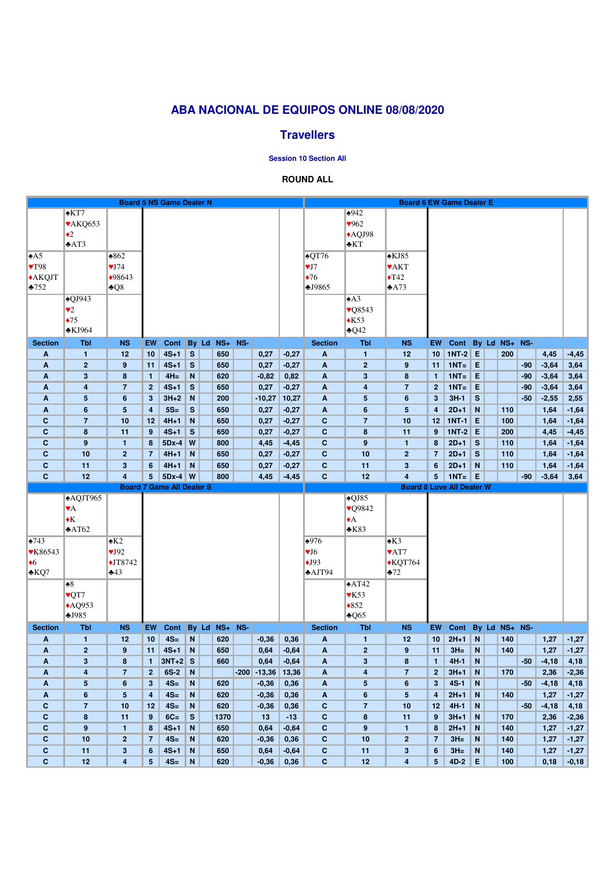## **ABA NACIONAL DE EQUIPOS ONLINE 08/08/2020**

### **Travellers**

**Session 10 Section All**

#### **ROUND ALL**

|                                           |                              |                                 |                         | <b>Board 5 NS Game Dealer N</b> |              |              |               |        |                 |                 |                                     |                              | <b>Board 6 EW Game Dealer E</b>         |                         |                                  |              |               |       |              |                    |
|-------------------------------------------|------------------------------|---------------------------------|-------------------------|---------------------------------|--------------|--------------|---------------|--------|-----------------|-----------------|-------------------------------------|------------------------------|-----------------------------------------|-------------------------|----------------------------------|--------------|---------------|-------|--------------|--------------------|
|                                           | $*KT7$                       |                                 |                         |                                 |              |              |               |        |                 |                 |                                     | $*942$                       |                                         |                         |                                  |              |               |       |              |                    |
|                                           | VAKQ653                      |                                 |                         |                                 |              |              |               |        |                 |                 |                                     | 962                          |                                         |                         |                                  |              |               |       |              |                    |
|                                           | $\triangleleft 2$            |                                 |                         |                                 |              |              |               |        |                 |                 |                                     | $*$ AQJ98                    |                                         |                         |                                  |              |               |       |              |                    |
|                                           | $*AT3$                       |                                 |                         |                                 |              |              |               |        |                 |                 |                                     | $*KT$                        |                                         |                         |                                  |              |               |       |              |                    |
| $\triangle$ A5                            |                              | $*862$                          |                         |                                 |              |              |               |        |                 |                 | $\triangle$ QT76                    |                              | $\triangle$ KJ85                        |                         |                                  |              |               |       |              |                    |
| $\blacktriangledown$ 798                  |                              | VJ74                            |                         |                                 |              |              |               |        |                 |                 | VI7                                 |                              | <b>VAKT</b>                             |                         |                                  |              |               |       |              |                    |
| <b>*AKQJT</b>                             |                              | ◆98643                          |                         |                                 |              |              |               |        |                 |                 | $\blacklozenge$ 76                  |                              | $\blacklozenge$ T42                     |                         |                                  |              |               |       |              |                    |
| $\frac{1}{2}$ 752                         |                              | $\clubsuit Q8$                  |                         |                                 |              |              |               |        |                 |                 | J9865                               |                              | $\triangle$ A73                         |                         |                                  |              |               |       |              |                    |
|                                           | $\triangle$ QJ943            |                                 |                         |                                 |              |              |               |        |                 |                 |                                     | $\triangle$ A3               |                                         |                         |                                  |              |               |       |              |                    |
|                                           | $\blacktriangledown$         |                                 |                         |                                 |              |              |               |        |                 |                 |                                     | $\sqrt{Q}8543$               |                                         |                         |                                  |              |               |       |              |                    |
|                                           | $\triangle 75$               |                                 |                         |                                 |              |              |               |        |                 |                 |                                     | $*K53$                       |                                         |                         |                                  |              |               |       |              |                    |
|                                           | $\triangle$ KJ964            |                                 |                         |                                 |              |              |               |        |                 |                 |                                     | $\triangle 042$              |                                         |                         |                                  |              |               |       |              |                    |
| <b>Section</b>                            | <b>Tbl</b>                   | <b>NS</b>                       | <b>EW</b>               | Cont                            |              |              | By Ld NS+ NS- |        |                 |                 | <b>Section</b>                      | <b>Tbl</b>                   | <b>NS</b>                               | <b>EW</b>               | Cont By Ld NS+ NS-               |              |               |       |              |                    |
| A                                         | $\mathbf{1}$                 | 12                              | 10                      | $4S+1$                          | S            |              | 650           |        | 0,27            | $-0,27$         | $\mathbf{A}$                        | $\mathbf{1}$                 | 12                                      | 10                      | $1NT-2$ E                        |              | 200           |       | 4,45         | $-4,45$            |
| A                                         | $\overline{2}$               | $\boldsymbol{9}$                | 11                      | $4S+1$                          | $\mathbf{s}$ |              | 650           |        | 0,27            | $-0,27$         | $\mathbf{A}$                        | $\overline{2}$               | 9                                       | 11                      | $1NT =$                          | E            |               | $-90$ | $-3,64$      | 3,64               |
| A                                         | $\mathbf{3}$                 | 8                               | $\mathbf{1}$            | $4H =$                          | N            |              | 620           |        | $-0,82$         | 0,82            | $\mathbf{A}$                        | 3                            | $\boldsymbol{8}$                        | $\mathbf{1}$            | $1NT =$                          | E            |               | $-90$ | $-3,64$      | 3,64               |
| A                                         | $\overline{\mathbf{4}}$      | $\overline{7}$                  | $\mathbf{2}$            | $4S+1$                          | S            |              | 650           |        | 0,27            | $-0,27$         | A                                   | 4                            | $\overline{7}$                          | $\mathbf{2}$            | $1NT =$                          | E            |               | $-90$ | $-3,64$      | 3,64               |
| Α                                         | $5\phantom{.0}$              | $6\phantom{a}$                  | 3 <sup>5</sup>          | $3H+2$                          | $\mathbf N$  |              | 200           |        | $-10,27$        | 10,27           | A                                   | 5                            | $6\phantom{1}6$                         | $\mathbf{3}$            | $3H-1$                           | S            |               | $-50$ | $-2,55$      | 2,55               |
| A                                         | $6\phantom{1}6$              | $\overline{\mathbf{5}}$         | $\overline{\mathbf{4}}$ | $5S=$                           | S            |              | 650           |        | 0,27            | $-0,27$         | A                                   | $\boldsymbol{6}$             | $5\phantom{1}$                          | $\overline{4}$          | $2D+1$                           | N            | 110           |       | 1,64         | $-1,64$            |
| $\mathbf{C}$                              | $\overline{7}$               | 10                              | 12                      | $4H+1$                          | N            |              | 650           |        | 0,27            | $-0,27$         | $\mathbf{C}$                        | $\overline{7}$               | 10                                      | 12                      | $1NT-1$                          | E            | 100           |       | 1,64         | $-1,64$            |
| $\mathbf{C}$                              | 8                            | 11                              | 9                       | $4S+1$                          | $\mathbf{s}$ |              | 650           |        | 0,27            | $-0,27$         | $\mathbf{C}$                        | $\bf{8}$                     | 11                                      | 9                       | <b>1NT-2</b>                     | E            | 200           |       | 4,45         | $-4,45$            |
| C                                         | 9                            | 1                               | 8                       | 5Dx-4                           | W            |              | 800           |        | 4,45            | $-4,45$         | $\mathbf{C}$                        | 9                            | $\mathbf{1}$                            | 8                       | $2D+1$                           | S            | 110           |       | 1,64         | $-1,64$            |
| $\mathbf{C}$                              | 10                           | $\overline{2}$                  | $\overline{7}$          | $4H+1$                          | N            |              | 650           |        | 0,27            | $-0,27$         | $\mathbf{C}$                        | 10                           | $\overline{2}$                          | $\overline{7}$          | $2D+1$                           | $\mathbf{s}$ | 110           |       | 1,64         | $-1,64$            |
| C                                         | 11                           | $\mathbf{3}$                    | 6                       | $4H+1$                          | N            |              | 650           |        | 0,27            | $-0,27$         | $\mathbf{C}$                        | 11                           | $3\phantom{a}$                          | 6                       | $2D+1$                           | N            | 110           |       | 1,64         | $-1,64$            |
| $\mathbf{C}$                              | 12                           | 4                               | 5                       | $5Dx-4$ W                       |              |              | 800           |        | 4,45            | $-4,45$         | $\mathbf{C}$                        | 12                           | $\overline{4}$                          | 5                       | $1NT =$                          | I E          |               | $-90$ | $-3,64$      | 3,64               |
| <b>Board 7 Game All Dealer S</b>          |                              |                                 |                         |                                 |              |              |               |        |                 |                 |                                     |                              |                                         |                         |                                  |              |               |       |              |                    |
|                                           |                              |                                 |                         |                                 |              |              |               |        |                 |                 |                                     |                              |                                         |                         | <b>Board 8 Love All Dealer W</b> |              |               |       |              |                    |
|                                           |                              |                                 |                         |                                 |              |              |               |        |                 |                 |                                     |                              |                                         |                         |                                  |              |               |       |              |                    |
|                                           | <b>AQJT965</b>               |                                 |                         |                                 |              |              |               |        |                 |                 |                                     | $\triangle$ QJ85             |                                         |                         |                                  |              |               |       |              |                    |
|                                           | $\Psi$ A                     |                                 |                         |                                 |              |              |               |        |                 |                 |                                     | <b>vQ9842</b><br>$\triangle$ |                                         |                         |                                  |              |               |       |              |                    |
|                                           | $\blacklozenge K$<br>AT62    |                                 |                         |                                 |              |              |               |        |                 |                 |                                     | $*K83$                       |                                         |                         |                                  |              |               |       |              |                    |
|                                           |                              |                                 |                         |                                 |              |              |               |        |                 |                 |                                     |                              |                                         |                         |                                  |              |               |       |              |                    |
| $\triangle 743$                           |                              | $\triangle$ K2                  |                         |                                 |              |              |               |        |                 |                 | $\frac{1}{2}976$                    |                              | $\triangle$ K3                          |                         |                                  |              |               |       |              |                    |
| <b>¥K86543</b>                            |                              | VJ92                            |                         |                                 |              |              |               |        |                 |                 | $\Psi$ J $6$                        |                              | $\blacktriangledown$ AT7                |                         |                                  |              |               |       |              |                    |
| $\bullet$ <sup>6</sup><br>$\triangle$ KQ7 |                              | $\blacklozenge$ JT8742<br>$*43$ |                         |                                 |              |              |               |        |                 |                 | $\bigstar$ J93<br>$\triangle$ AJT94 |                              | $\triangle$ KQT764<br>$*72$             |                         |                                  |              |               |       |              |                    |
|                                           | $\bullet 8$                  |                                 |                         |                                 |              |              |               |        |                 |                 |                                     |                              |                                         |                         |                                  |              |               |       |              |                    |
|                                           |                              |                                 |                         |                                 |              |              |               |        |                 |                 |                                     | $*AT42$                      |                                         |                         |                                  |              |               |       |              |                    |
|                                           | ♥QT7                         |                                 |                         |                                 |              |              |               |        |                 |                 |                                     | $\mathbf{V}$ K53<br>$*852$   |                                         |                         |                                  |              |               |       |              |                    |
|                                           | $\triangle$ AQ953<br>$-1985$ |                                 |                         |                                 |              |              |               |        |                 |                 |                                     | $\triangle$ Q65              |                                         |                         |                                  |              |               |       |              |                    |
| <b>Section</b>                            | <b>Tbl</b>                   | <b>NS</b>                       | EW                      | Cont                            |              | <b>By</b> Ld | $NS+$         | NS-    |                 |                 | <b>Section</b>                      | <b>Tbl</b>                   | <b>NS</b>                               | <b>EW</b>               | <b>Cont</b>                      |              | By Ld NS+ NS- |       |              |                    |
| A                                         | $\mathbf{1}$                 | 12                              | 10                      | $4S=$                           | N            |              | 620           |        | $-0,36$         | 0,36            | $\mathbf{A}$                        | $\mathbf{1}$                 | 12                                      | 10                      | $2H+1$                           | N            | 140           |       | 1,27         | $-1,27$            |
| A                                         | $\overline{2}$               | $\boldsymbol{9}$                | 11                      | $4S+1$                          | N            |              | 650           |        | 0,64            | $-0,64$         | A                                   | $\overline{2}$               | 9                                       | 11                      | $3H =$                           | N            | 140           |       | 1,27         | $-1,27$            |
| A                                         | $\mathbf{3}$                 | 8                               | $\mathbf{1}$            | $3NT+2$ S                       |              |              | 660           |        | 0,64            | $-0,64$         | $\mathbf{A}$                        | $\mathbf{3}$                 | $\pmb{8}$                               | $\mathbf{1}$            | $4H-1$                           | N            |               | $-50$ | $-4,18$      | 4,18               |
| A                                         | $\overline{\mathbf{4}}$      | $\overline{7}$                  | $\mathbf{2}$            | 6S-2                            | N            |              |               | $-200$ | $-13,36$        | 13,36           | $\mathbf{A}$                        | 4                            | $\overline{7}$                          | $\mathbf{2}$            | $3H+1$                           | N            | 170           |       | 2,36         | $-2,36$            |
| A                                         | $5\phantom{.0}$              | $6\phantom{a}$                  | $3\phantom{a}$          | $4S=$                           | N            |              | 620           |        | $-0,36$         | 0,36            | A                                   | $5\phantom{.0}$              | $6\phantom{1}6$                         | $\mathbf{3}$            | $4S-1$                           | N            |               | $-50$ | $-4,18$      | 4,18               |
| A                                         | $6\phantom{1}$               | $5\phantom{.0}$                 | 4                       | $4S=$                           | N            |              | 620           |        | $-0,36$         | 0,36            | A                                   | $6\phantom{1}$               | $5\phantom{.0}$                         | $\overline{\mathbf{4}}$ | $2H+1$                           | N            | 140           |       | 1,27         | $-1,27$            |
| $\mathbf{C}$                              | $\overline{7}$               | 10                              | 12                      | $4S=$                           | N            |              | 620           |        | $-0,36$         | 0,36            | $\mathbf{C}$                        | $\overline{7}$               | 10                                      | 12                      | $4H-1$                           | N            |               | $-50$ | $-4,18$      | 4,18               |
| $\mathbf{C}$                              | 8                            | 11                              | 9                       | $6C=$                           | S            |              | 1370          |        | 13              | $-13$           | $\mathbf{C}$                        | $\bf{8}$                     | 11                                      | 9                       | $3H+1$                           | N            | 170           |       | 2,36         | $-2,36$            |
| $\mathbf{C}$                              | 9                            | $\mathbf{1}$                    | 8                       | $4S+1$                          | N            |              | 650           |        | 0,64            | $-0,64$         | $\mathbf{C}$                        | 9                            | 1                                       | 8                       | $2H+1$                           | N            | 140           |       | 1,27         | $-1,27$            |
| $\mathbf{C}$                              | 10                           | $\overline{2}$                  | $\overline{7}$          | $4S=$                           | N            |              | 620           |        | $-0,36$         | 0,36            | $\mathbf{C}$                        | 10                           | $\overline{2}$                          | $\overline{7}$          | $3H =$                           | N            | 140           |       | 1,27         | $-1,27$            |
| C<br>$\mathbf{C}$                         | 11<br>12                     | $\mathbf{3}$<br>4               | 6<br>5 <sup>5</sup>     | $4S+1$<br>$4S=$                 | N<br>N       |              | 650<br>620    |        | 0,64<br>$-0,36$ | $-0,64$<br>0,36 | $\mathbf{C}$<br>$\mathbf{C}$        | 11<br>12                     | $\mathbf{3}$<br>$\overline{\mathbf{4}}$ | $6\phantom{1}6$<br>5    | $3H =$<br>$4D-2$                 | N<br>E       | 140<br>100    |       | 1,27<br>0,18 | $-1,27$<br>$-0,18$ |